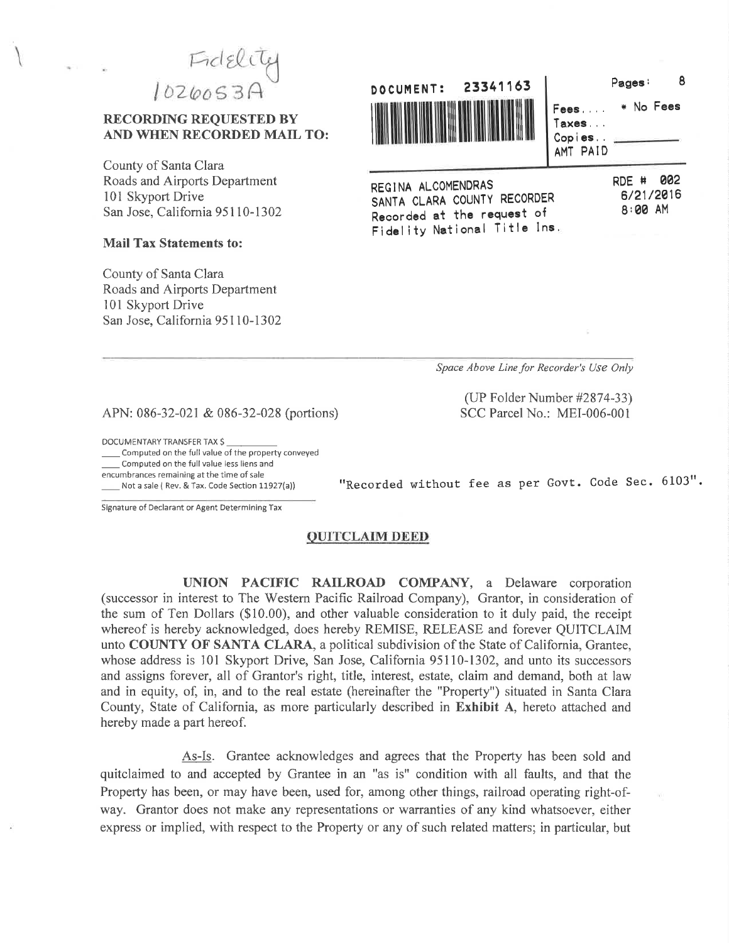Fidelite<br>1020053A

### **RECORDING REOUESTED BY** AND WHEN RECORDED MAIL TO:

County of Santa Clara Roads and Airports Department 101 Skyport Drive San Jose, California 95110-1302

#### **Mail Tax Statements to:**

County of Santa Clara Roads and Airports Department 101 Skyport Drive San Jose, California 95110-1302



\* No Fees Fees.... Taxes... Copies. AMT PAID 002 RDE #

6/21/2016

8:00 AM

Pages:

8

REGINA ALCOMENDRAS SANTA CLARA COUNTY RECORDER Recorded at the request of Fidelity National Title Ins.

Space Above Line for Recorder's Use Only

(UP Folder Number #2874-33) SCC Parcel No.: MEI-006-001

APN: 086-32-021 & 086-32-028 (portions)

DOCUMENTARY TRANSFER TAX \$

Computed on the full value of the property conveyed Computed on the full value less liens and encumbrances remaining at the time of sale Not a sale ( Rev. & Tax. Code Section 11927(a))

"Recorded without fee as per Govt. Code Sec. 6103".

Signature of Declarant or Agent Determining Tax

### **QUITCLAIM DEED**

UNION PACIFIC RAILROAD COMPANY, a Delaware corporation (successor in interest to The Western Pacific Railroad Company), Grantor, in consideration of the sum of Ten Dollars (\$10.00), and other valuable consideration to it duly paid, the receipt whereof is hereby acknowledged, does hereby REMISE, RELEASE and forever QUITCLAIM unto COUNTY OF SANTA CLARA, a political subdivision of the State of California, Grantee, whose address is 101 Skyport Drive, San Jose, California 95110-1302, and unto its successors and assigns forever, all of Grantor's right, title, interest, estate, claim and demand, both at law and in equity, of, in, and to the real estate (hereinafter the "Property") situated in Santa Clara County, State of California, as more particularly described in Exhibit A, hereto attached and hereby made a part hereof.

As-Is. Grantee acknowledges and agrees that the Property has been sold and quitclaimed to and accepted by Grantee in an "as is" condition with all faults, and that the Property has been, or may have been, used for, among other things, railroad operating right-ofway. Grantor does not make any representations or warranties of any kind whatsoever, either express or implied, with respect to the Property or any of such related matters; in particular, but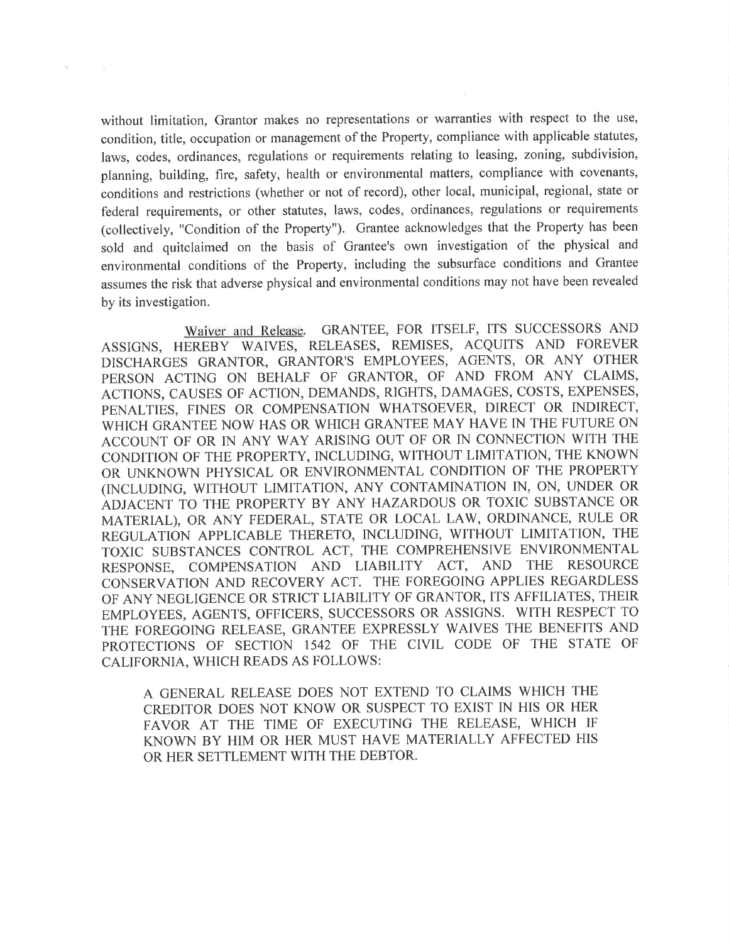without limitation, Grantor makes no representations or warranties with respect to the use, condition, title, occupation or management of the Property, compliance with applicable statutes, laws, codes, ordinances, regulations or requirements relating to leasing, zoning, subdivision, planning, building, fire, safety, health or environmental matters, compliance with covenants, conditions and restrictions (whether or not of record), other local, municipal, regional, state or federal requirements, or other statutes, laws, codes, ordinances, regulations or requirements (collectively, "Condition of the Property"). Grantee acknowledges that the Property has been sold and quitclaimed on the basis of Grantee's own investigation of the physical and environmental conditions of the Property, including the subsurface conditions and Grantee assumes the risk that adverse physical and environmental conditions may not have been revealed by its investigation.

96

Waiver and Release. GRANTEE, FOR ITSELF, ITS SUCCESSORS AND ASSIGNS, HEREBY WAIVES, RELEASES, REMISES, ACQUITS AND FOREVER DISCHARGES GRANTOR, GRANTOR'S EMPLOYEES, AGENTS, OR ANY OTHER PERSON ACTING ON BEHALF OF GRANTOR, OF AND FROM ANY CLAIMS, ACTIONS, CAUSES OF ACTION, DEMANDS, RIGHTS, DAMAGES, COSTS, EXPENSES, PENALTIES, FINES OR COMPENSATION WHATSOEVER, DIRECT OR INDIRECT, WHICH GRANTEE NOW HAS OR WHICH GRANTEE MAY HAVE IN THE FUTURE ON ACCOUNT OF OR IN ANY WAY ARISING OUT OF OR IN CONNECTION WITH THE CONDITION OF THE PROPERTY, INCLUDING, WITHOUT LIMITATION, THE KNOWN OR UNKNOWN PHYSICAL OR ENVIRONMENTAL CONDITION OF THE PROPERTY (INCLUDING, WITHOUT LIMITATION, ANY CONTAMINATION IN, ON, UNDER OR ADJACENT TO THE PROPERTY BY ANY HAZARDOUS OR TOXIC SUBSTANCE OR MATERIAL), OR ANY FEDERAL, STATE OR LOCAL LAW, ORDINANCE, RULE OR REGULATION APPLICABLE THERETO, INCLUDING, WITHOUT LIMITATION, THE TOXIC SUBSTANCES CONTROL ACT, THE COMPREHENSIVE ENVIRONMENTAL RESPONSE, COMPENSATION AND LIABILITY ACT, AND THE RESOURCE CONSERVATION AND RECOVERY ACT. THE FOREGOING APPLIES REGARDLESS OF ANY NEGLIGENCE OR STRICT LIABILITY OF GRANTOR, ITS AFFILIATES, THEIR EMPLOYEES, AGENTS, OFFICERS, SUCCESSORS OR ASSIGNS. WITH RESPECT TO THE FOREGOING RELEASE, GRANTEE EXPRESSLY WAIVES THE BENEFITS AND PROTECTIONS OF SECTION 1542 OF THE CIVIL CODE OF THE STATE OF CALIFORNIA, WHICH READS AS FOLLOWS:

A GENERAL RELEASE DOES NOT EXTEND TO CLAIMS WHICH THE CREDITOR DOES NOT KNOW OR SUSPECT TO EXIST IN HIS OR HER FAVOR AT THE TIME OF EXECUTING THE RELEASE, WHICH IF KNOWN BY HIM OR HER MUST HAVE MATERIALLY AFFECTED HIS OR HER SETTLEMENT WITH THE DEBTOR.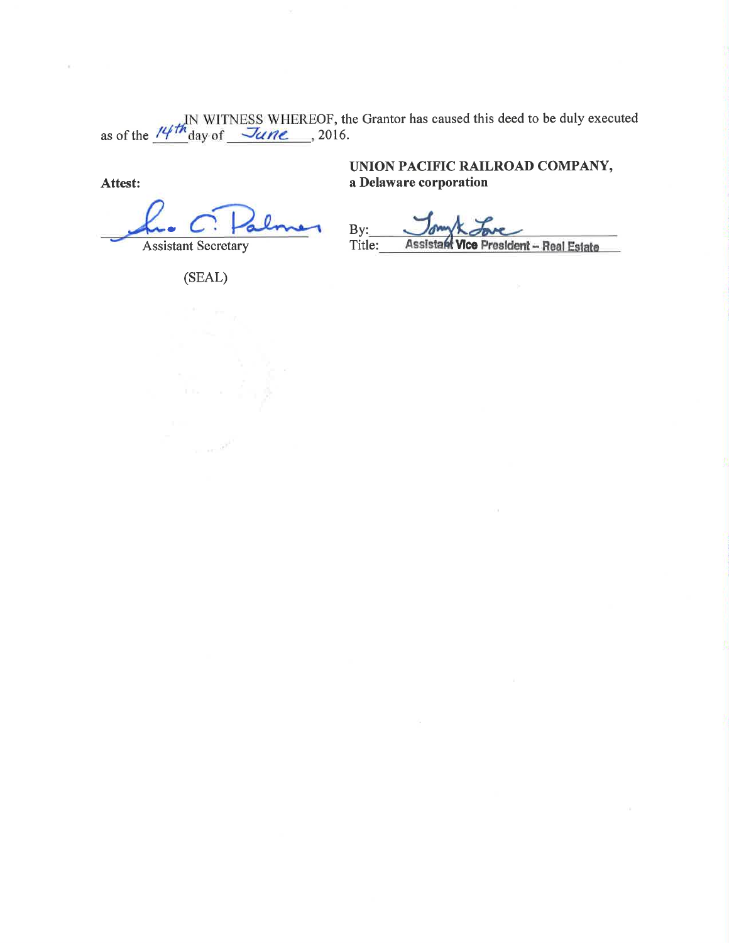as of the  $\frac{14\pi}{10}$  WITNESS WHEREOF, the Grantor has caused this deed to be duly executed as of the  $\frac{14\pi}{10}$  day of  $\frac{3\pi}{10}$  . 2016.

Attest:

**Assistant Secretary** 

UNION PACIFIC RAILROAD COMPANY, a Delaware corporation

 $By:$ Title: **Assistant Vice President - Real Estate** 

(SEAL)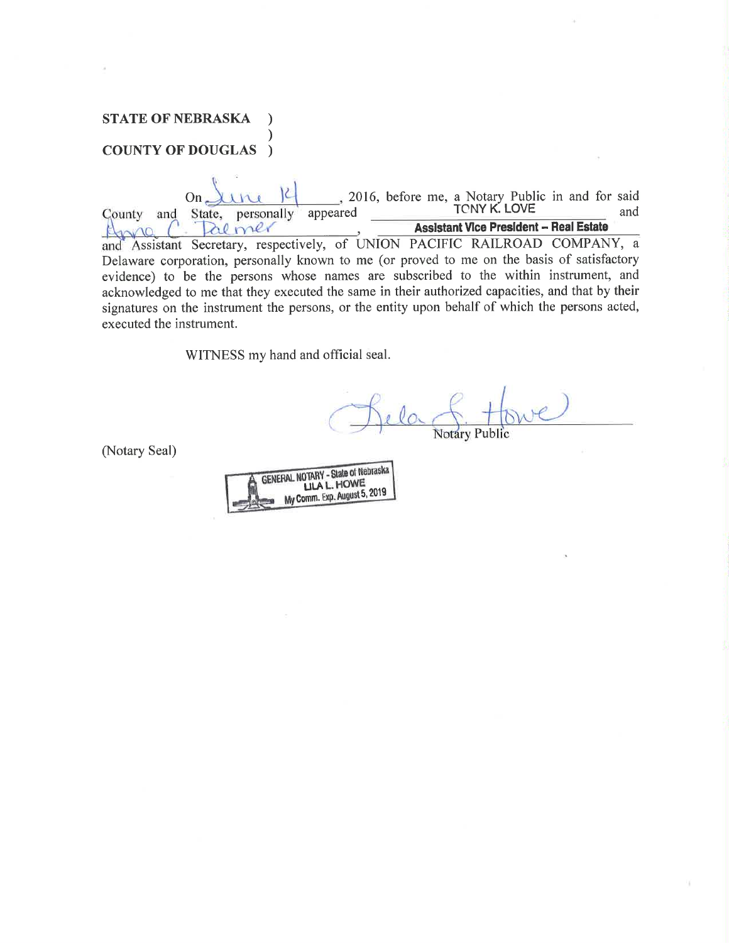# **STATE OF NEBRASKA COUNTY OF DOUGLAS** )

2016, before me, a Notary Public in and for said<br>TONY K. LOVE anneared  $On_{\leftarrow}$ une County and State, personally appeared **Assistant Vice President - Real Estate** al mer  $\mathcal{L}$  $120$ and Assistant Secretary, respectively, of UNION PACIFIC RAILROAD COMPANY, a Delaware corporation, personally known to me (or proved to me on the basis of satisfactory evidence) to be the persons whose names are subscribed to the within instrument, and acknowledged to me that they executed the same in their authorized capacities, and that by their signatures on the instrument the persons, or the entity upon behalf of which the persons acted, executed the instrument.

WITNESS my hand and official seal.

**Notary Public** 

(Notary Seal)

| <b>GENERAL NOTARY - State of Nebraska</b><br><b>ULA L. HOWE</b> |
|-----------------------------------------------------------------|
|                                                                 |
| My Comm. Exp. August 5, 2019                                    |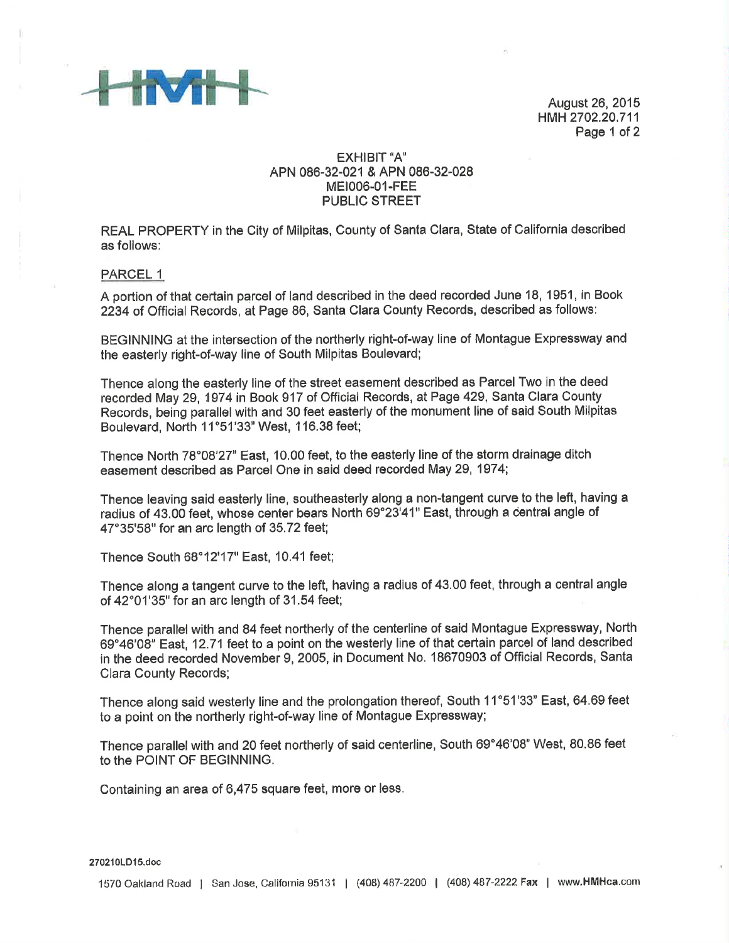

August 26,2015 HMH 2702,20,711 Page 1 of 2

### EXHIBIT'A' APN 086-32-021 & APN 086-32-028 MEt006-01-FEE PUBLIC STREET

REAL PROPERTY in the City of Milpitas, County of Santa Clara, State of California described as follows:

PARCEL <sup>1</sup>

A portion of that certain parcel of land described in the deed recorded June 18, 1951, in Book 2234 of Official Records, at Page 86, Santa Clara County Records, described as follows:

BEGINNING at the intersection of the northerly right-of-way line of Montague Expressway and the easterly right-of-way line of South Milpitas Boulevard;

Thence along the easterly line of the street easement described as Parcel Two in the deed recorded May 29, 1974 in Book 917 of Official Records, at Page 429, Santa Clara County Records, being parallel with and 30 feet easterly of the monument line of said South Milpitas Boulevard, North 11°51'33" West, 116.38 feet;

Thence North 78°08'27" East, 10,00 feet, to the easterly line of the storm drainage ditch easement described as Parcel One in said deed recorded May 29, 1974;

Thence leaving said easterly line, southeasterly along a non-tangent curve to the left, having a radius of 43.00 feet, whose center bears North 69"23'41" East, through a dentral angle of 47'35'58" for an arc length of 35.72 feet;

Thence South 68'12'17" East, 10,41 feet;

Thence along a tangent curve to the left, having a radius of 43.00 feet, through a central angle of 42'01'35" for an arc length of 31.54 feet;

Thence parallel with and 84 feet northerly of the centerline of said Montague Expressway, North 69'46'08' East, 12.71feet to a point on the westerly line of that certain parcel of land described in the deed recorded November 9, 2005, in Document No. 18670903 of Official Records, Santa Clara County Records;

Thence along said westerly line and the prolongation thereof, South 11"51'33" East, 64,69 feet to a point on the northerly right-of-way line of Montague Expressway;

Thence parallel with and 20 feet northerly of said centerline, South 69°46'08" West, 80.86 feet to the POINT OF BEGINNING.

Containing an area of 6,475 square feet, more or less.

270210LD15.doc

1570 Oakland Road | San Jose, California 95131 | (408) 487-2200 | (408) 487-2222 Fax | www.HMHca.com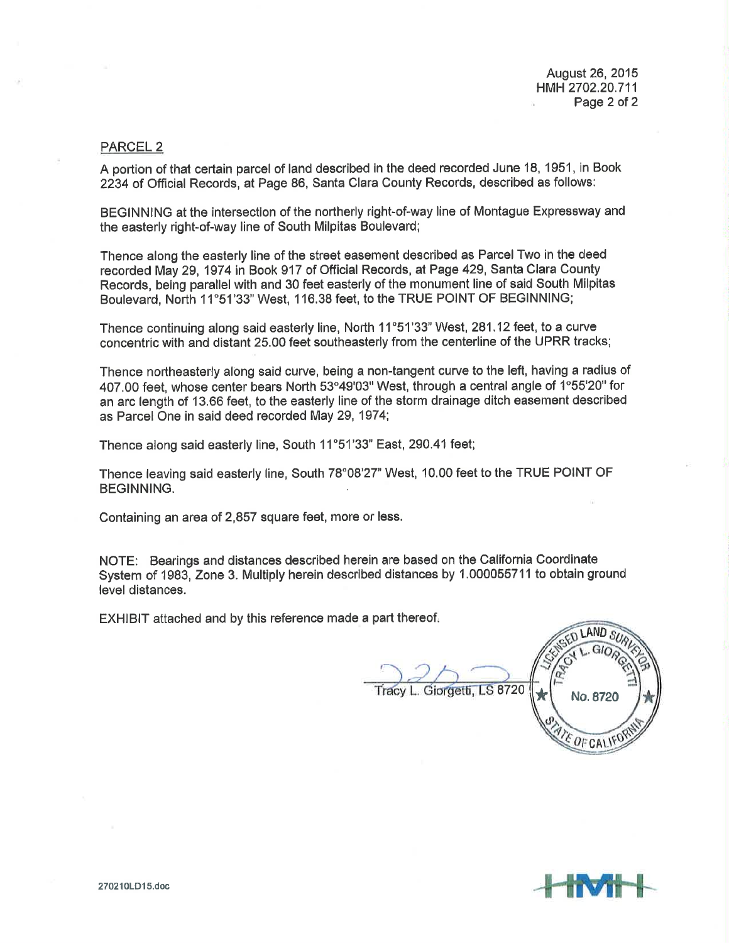August 26,2015 HMH2702,20.711 Page 2 of 2

### PARCEL 2

A portion of that certain parcel of land described in the deed recorded June 18, 1951, in Book 2234 of Official Records, at Page 86, Santa Clara County Records, described as follows:

BEGINNING at the intersection of the northerly right-of-way line of Montague Expressway and the easterly right-of-way line of South Milpitas Boulevard;

Thence along the easterly line of the street easement described as Parcel Two in the deed recorded May 29, 1974 in Book 917 of Official Records, at Page 429, Santa Clara County Records, being parallel with and 30 feet easterly of the monument line of said South Milpitas Boulevard, North 11'51'33' West, 1 16.38 feet, to the TRUE POINT OF BEGINNING;

Thence continuing along said easterly line, North 11°51'33" West, 281.12 feet, to a curve concentric with and distant 25.00 feet southeasterly from the centerline of the UPRR tracks;

Thence northeasterly along said curve, being a non-tangent curve to the left, having a radius of 407.00 feet, whose center bears North 53°49'03" West, through a central angle of 1°55'20" for an arc length of 13,66 feet, to the easterly line of the storm drainage ditch easement described as Parcel One in said deed recorded May 29,1974;

Thence along said easterly line, South 11°51'33" East, 290.41 feet;

Thence leaving said easterly line, South 78°08'27" West, 10.00 feet to the TRUE POINT OF BEGINNING.

Containing an area of 2,857 square feet, more or less.

NOTE: Bearings and distances described herein are based on the California Coordinato System of 1983, Zone 3. Multiply herein described distances by 1.000055711 to obtain ground level distances.

EXHIBIT attached and by this reference made a part thereof

Giorgetti, LS 8720  $\left|\star\right|$  No. 8720 LAND<sub>S</sub> \* EOF CALIF

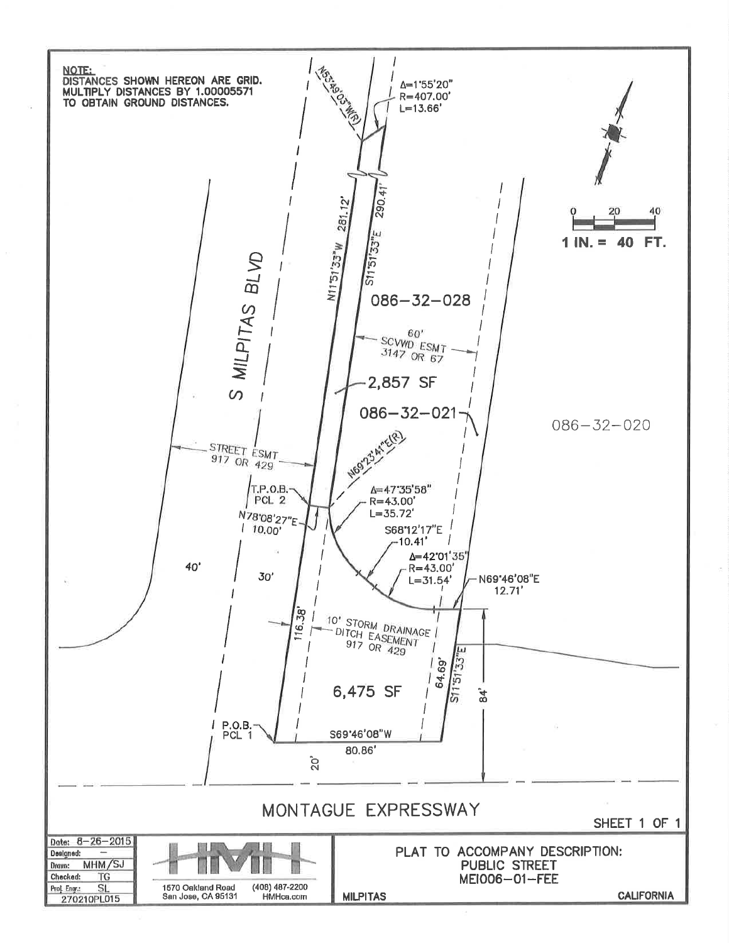